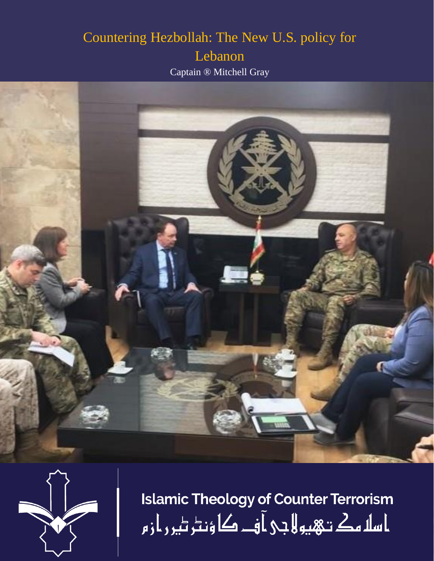## Countering Hezbollah: The New U.S. policy for Lebanon

Captain ® Mitchell Gray





**Islamic Theology of Counter Terrorism** ا سلا مك تـهيو لا جي آ فــ کا ؤنٹر ٹير ر از م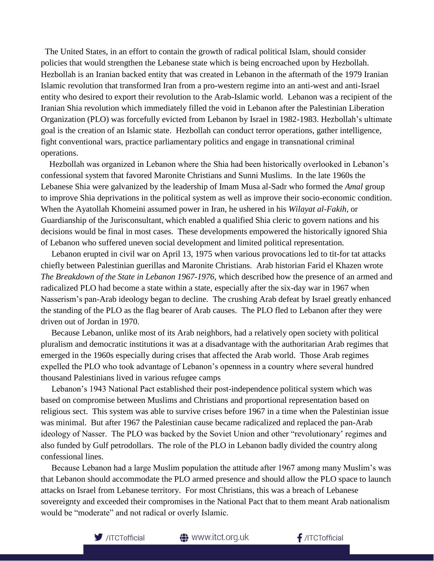The United States, in an effort to contain the growth of radical political Islam, should consider policies that would strengthen the Lebanese state which is being encroached upon by Hezbollah. Hezbollah is an Iranian backed entity that was created in Lebanon in the aftermath of the 1979 Iranian Islamic revolution that transformed Iran from a pro-western regime into an anti-west and anti-Israel entity who desired to export their revolution to the Arab-Islamic world. Lebanon was a recipient of the Iranian Shia revolution which immediately filled the void in Lebanon after the Palestinian Liberation Organization (PLO) was forcefully evicted from Lebanon by Israel in 1982-1983. Hezbollah's ultimate goal is the creation of an Islamic state. Hezbollah can conduct terror operations, gather intelligence, fight conventional wars, practice parliamentary politics and engage in transnational criminal operations.

 Hezbollah was organized in Lebanon where the Shia had been historically overlooked in Lebanon's confessional system that favored Maronite Christians and Sunni Muslims. In the late 1960s the Lebanese Shia were galvanized by the leadership of Imam Musa al-Sadr who formed the *Amal* group to improve Shia deprivations in the political system as well as improve their socio-economic condition. When the Ayatollah Khomeini assumed power in Iran, he ushered in his *Wilayat al-Fakih*, or Guardianship of the Jurisconsultant, which enabled a qualified Shia cleric to govern nations and his decisions would be final in most cases. These developments empowered the historically ignored Shia of Lebanon who suffered uneven social development and limited political representation.

 Lebanon erupted in civil war on April 13, 1975 when various provocations led to tit-for tat attacks chiefly between Palestinian guerillas and Maronite Christians. Arab historian Farid el Khazen wrote *The Breakdown of the State in Lebanon 1967-1976*, which described how the presence of an armed and radicalized PLO had become a state within a state, especially after the six-day war in 1967 when Nasserism's pan-Arab ideology began to decline. The crushing Arab defeat by Israel greatly enhanced the standing of the PLO as the flag bearer of Arab causes. The PLO fled to Lebanon after they were driven out of Jordan in 1970.

 Because Lebanon, unlike most of its Arab neighbors, had a relatively open society with political pluralism and democratic institutions it was at a disadvantage with the authoritarian Arab regimes that emerged in the 1960s especially during crises that affected the Arab world. Those Arab regimes expelled the PLO who took advantage of Lebanon's openness in a country where several hundred thousand Palestinians lived in various refugee camps

 Lebanon's 1943 National Pact established their post-independence political system which was based on compromise between Muslims and Christians and proportional representation based on religious sect. This system was able to survive crises before 1967 in a time when the Palestinian issue was minimal. But after 1967 the Palestinian cause became radicalized and replaced the pan-Arab ideology of Nasser. The PLO was backed by the Soviet Union and other "revolutionary' regimes and also funded by Gulf petrodollars. The role of the PLO in Lebanon badly divided the country along confessional lines.

 Because Lebanon had a large Muslim population the attitude after 1967 among many Muslim's was that Lebanon should accommodate the PLO armed presence and should allow the PLO space to launch attacks on Israel from Lebanese territory. For most Christians, this was a breach of Lebanese sovereignty and exceeded their compromises in the National Pact that to them meant Arab nationalism would be "moderate" and not radical or overly Islamic.



**●** www.itct.org.uk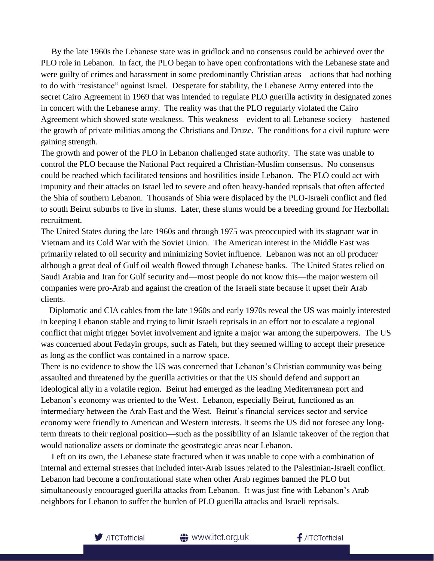By the late 1960s the Lebanese state was in gridlock and no consensus could be achieved over the PLO role in Lebanon. In fact, the PLO began to have open confrontations with the Lebanese state and were guilty of crimes and harassment in some predominantly Christian areas—actions that had nothing to do with "resistance" against Israel. Desperate for stability, the Lebanese Army entered into the secret Cairo Agreement in 1969 that was intended to regulate PLO guerilla activity in designated zones in concert with the Lebanese army. The reality was that the PLO regularly violated the Cairo Agreement which showed state weakness. This weakness—evident to all Lebanese society—hastened the growth of private militias among the Christians and Druze. The conditions for a civil rupture were gaining strength.

The growth and power of the PLO in Lebanon challenged state authority. The state was unable to control the PLO because the National Pact required a Christian-Muslim consensus. No consensus could be reached which facilitated tensions and hostilities inside Lebanon. The PLO could act with impunity and their attacks on Israel led to severe and often heavy-handed reprisals that often affected the Shia of southern Lebanon. Thousands of Shia were displaced by the PLO-Israeli conflict and fled to south Beirut suburbs to live in slums. Later, these slums would be a breeding ground for Hezbollah recruitment.

The United States during the late 1960s and through 1975 was preoccupied with its stagnant war in Vietnam and its Cold War with the Soviet Union. The American interest in the Middle East was primarily related to oil security and minimizing Soviet influence. Lebanon was not an oil producer although a great deal of Gulf oil wealth flowed through Lebanese banks. The United States relied on Saudi Arabia and Iran for Gulf security and—most people do not know this—the major western oil companies were pro-Arab and against the creation of the Israeli state because it upset their Arab clients.

 Diplomatic and CIA cables from the late 1960s and early 1970s reveal the US was mainly interested in keeping Lebanon stable and trying to limit Israeli reprisals in an effort not to escalate a regional conflict that might trigger Soviet involvement and ignite a major war among the superpowers. The US was concerned about Fedayin groups, such as Fateh, but they seemed willing to accept their presence as long as the conflict was contained in a narrow space.

There is no evidence to show the US was concerned that Lebanon's Christian community was being assaulted and threatened by the guerilla activities or that the US should defend and support an ideological ally in a volatile region. Beirut had emerged as the leading Mediterranean port and Lebanon's economy was oriented to the West. Lebanon, especially Beirut, functioned as an intermediary between the Arab East and the West. Beirut's financial services sector and service economy were friendly to American and Western interests. It seems the US did not foresee any longterm threats to their regional position—such as the possibility of an Islamic takeover of the region that would nationalize assets or dominate the geostrategic areas near Lebanon.

 Left on its own, the Lebanese state fractured when it was unable to cope with a combination of internal and external stresses that included inter-Arab issues related to the Palestinian-Israeli conflict. Lebanon had become a confrontational state when other Arab regimes banned the PLO but simultaneously encouraged guerilla attacks from Lebanon. It was just fine with Lebanon's Arab neighbors for Lebanon to suffer the burden of PLO guerilla attacks and Israeli reprisals.



 $f$ /ITCTofficial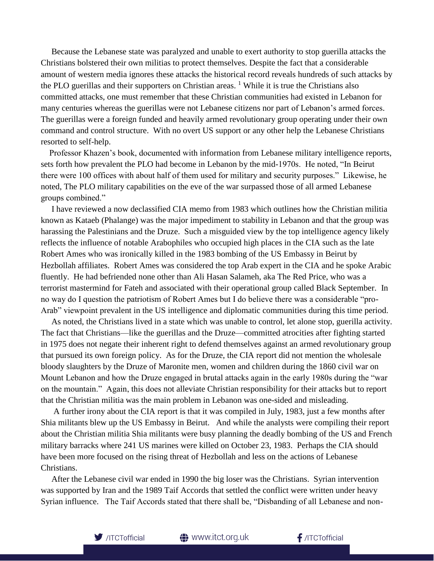Because the Lebanese state was paralyzed and unable to exert authority to stop guerilla attacks the Christians bolstered their own militias to protect themselves. Despite the fact that a considerable amount of western media ignores these attacks the historical record reveals hundreds of such attacks by the PLO guerillas and their supporters on Christian areas.  $\frac{1}{1}$  While it is true the Christians also committed attacks, one must remember that these Christian communities had existed in Lebanon for many centuries whereas the guerillas were not Lebanese citizens nor part of Lebanon's armed forces. The guerillas were a foreign funded and heavily armed revolutionary group operating under their own command and control structure. With no overt US support or any other help the Lebanese Christians resorted to self-help.

 Professor Khazen's book, documented with information from Lebanese military intelligence reports, sets forth how prevalent the PLO had become in Lebanon by the mid-1970s. He noted, "In Beirut there were 100 offices with about half of them used for military and security purposes." Likewise, he noted, The PLO military capabilities on the eve of the war surpassed those of all armed Lebanese groups combined."

 I have reviewed a now declassified CIA memo from 1983 which outlines how the Christian militia known as Kataeb (Phalange) was the major impediment to stability in Lebanon and that the group was harassing the Palestinians and the Druze. Such a misguided view by the top intelligence agency likely reflects the influence of notable Arabophiles who occupied high places in the CIA such as the late Robert Ames who was ironically killed in the 1983 bombing of the US Embassy in Beirut by Hezbollah affiliates. Robert Ames was considered the top Arab expert in the CIA and he spoke Arabic fluently. He had befriended none other than Ali Hasan Salameh, aka The Red Price, who was a terrorist mastermind for Fateh and associated with their operational group called Black September. In no way do I question the patriotism of Robert Ames but I do believe there was a considerable "pro-Arab" viewpoint prevalent in the US intelligence and diplomatic communities during this time period.

 As noted, the Christians lived in a state which was unable to control, let alone stop, guerilla activity. The fact that Christians—like the guerillas and the Druze—committed atrocities after fighting started in 1975 does not negate their inherent right to defend themselves against an armed revolutionary group that pursued its own foreign policy. As for the Druze, the CIA report did not mention the wholesale bloody slaughters by the Druze of Maronite men, women and children during the 1860 civil war on Mount Lebanon and how the Druze engaged in brutal attacks again in the early 1980s during the "war on the mountain." Again, this does not alleviate Christian responsibility for their attacks but to report that the Christian militia was the main problem in Lebanon was one-sided and misleading.

 A further irony about the CIA report is that it was compiled in July, 1983, just a few months after Shia militants blew up the US Embassy in Beirut. And while the analysts were compiling their report about the Christian militia Shia militants were busy planning the deadly bombing of the US and French military barracks where 241 US marines were killed on October 23, 1983. Perhaps the CIA should have been more focused on the rising threat of Hezbollah and less on the actions of Lebanese Christians.

 After the Lebanese civil war ended in 1990 the big loser was the Christians. Syrian intervention was supported by Iran and the 1989 Taif Accords that settled the conflict were written under heavy Syrian influence. The Taif Accords stated that there shall be, "Disbanding of all Lebanese and non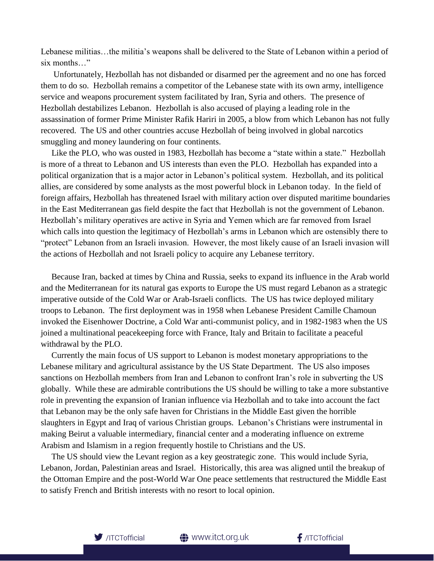Lebanese militias…the militia's weapons shall be delivered to the State of Lebanon within a period of six months…"

 Unfortunately, Hezbollah has not disbanded or disarmed per the agreement and no one has forced them to do so. Hezbollah remains a competitor of the Lebanese state with its own army, intelligence service and weapons procurement system facilitated by Iran, Syria and others. The presence of Hezbollah destabilizes Lebanon. Hezbollah is also accused of playing a leading role in the assassination of former Prime Minister Rafik Hariri in 2005, a blow from which Lebanon has not fully recovered. The US and other countries accuse Hezbollah of being involved in global narcotics smuggling and money laundering on four continents.

 Like the PLO, who was ousted in 1983, Hezbollah has become a "state within a state." Hezbollah is more of a threat to Lebanon and US interests than even the PLO. Hezbollah has expanded into a political organization that is a major actor in Lebanon's political system. Hezbollah, and its political allies, are considered by some analysts as the most powerful block in Lebanon today. In the field of foreign affairs, Hezbollah has threatened Israel with military action over disputed maritime boundaries in the East Mediterranean gas field despite the fact that Hezbollah is not the government of Lebanon. Hezbollah's military operatives are active in Syria and Yemen which are far removed from Israel which calls into question the legitimacy of Hezbollah's arms in Lebanon which are ostensibly there to "protect" Lebanon from an Israeli invasion. However, the most likely cause of an Israeli invasion will the actions of Hezbollah and not Israeli policy to acquire any Lebanese territory.

 Because Iran, backed at times by China and Russia, seeks to expand its influence in the Arab world and the Mediterranean for its natural gas exports to Europe the US must regard Lebanon as a strategic imperative outside of the Cold War or Arab-Israeli conflicts. The US has twice deployed military troops to Lebanon. The first deployment was in 1958 when Lebanese President Camille Chamoun invoked the Eisenhower Doctrine, a Cold War anti-communist policy, and in 1982-1983 when the US joined a multinational peacekeeping force with France, Italy and Britain to facilitate a peaceful withdrawal by the PLO.

 Currently the main focus of US support to Lebanon is modest monetary appropriations to the Lebanese military and agricultural assistance by the US State Department. The US also imposes sanctions on Hezbollah members from Iran and Lebanon to confront Iran's role in subverting the US globally. While these are admirable contributions the US should be willing to take a more substantive role in preventing the expansion of Iranian influence via Hezbollah and to take into account the fact that Lebanon may be the only safe haven for Christians in the Middle East given the horrible slaughters in Egypt and Iraq of various Christian groups. Lebanon's Christians were instrumental in making Beirut a valuable intermediary, financial center and a moderating influence on extreme Arabism and Islamism in a region frequently hostile to Christians and the US.

 The US should view the Levant region as a key geostrategic zone. This would include Syria, Lebanon, Jordan, Palestinian areas and Israel. Historically, this area was aligned until the breakup of the Ottoman Empire and the post-World War One peace settlements that restructured the Middle East to satisfy French and British interests with no resort to local opinion.